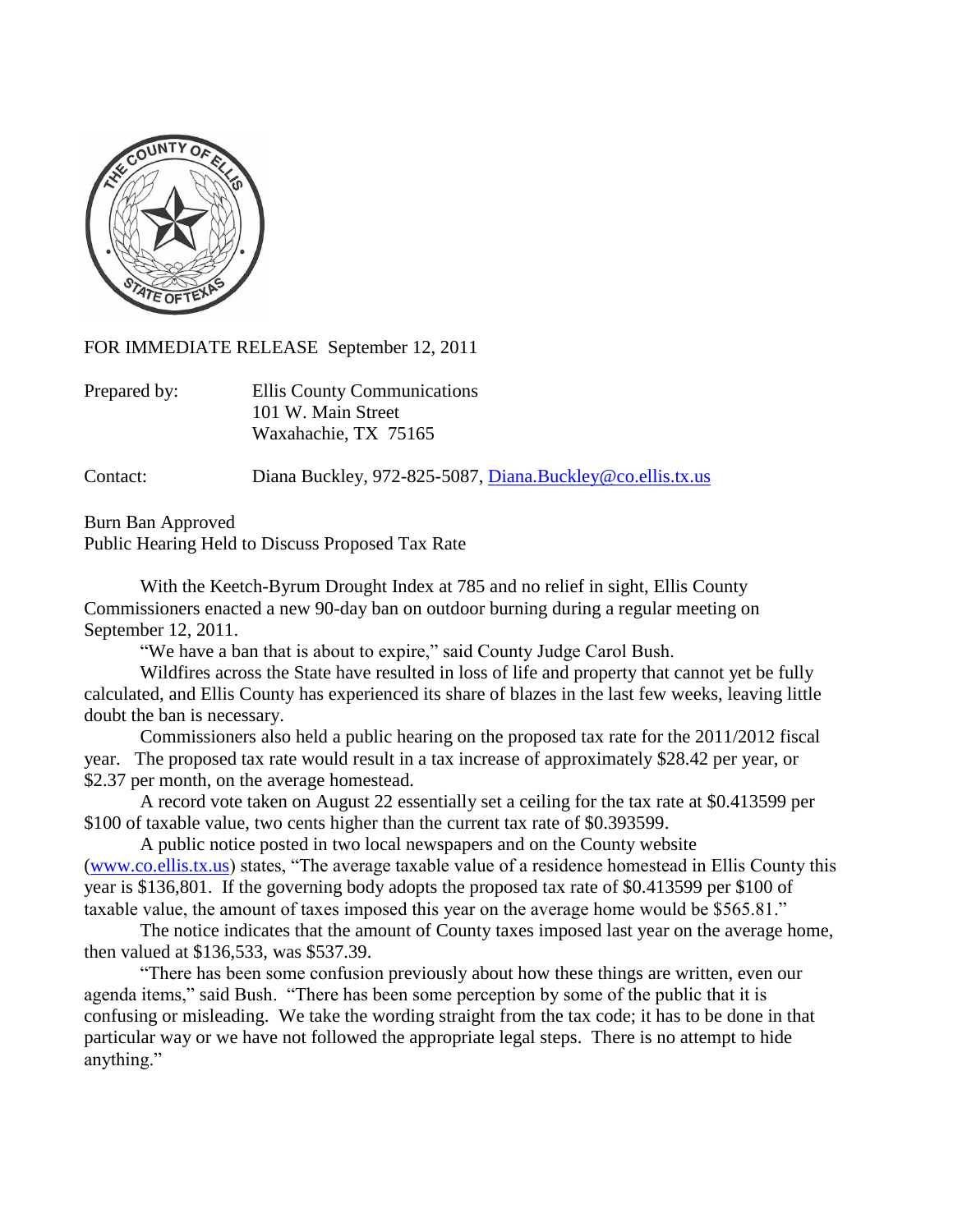

FOR IMMEDIATE RELEASE September 12, 2011

| Prepared by: | Ellis County Communications |
|--------------|-----------------------------|
|              | 101 W. Main Street          |
|              | Waxahachie, TX 75165        |

Contact: Diana Buckley, 972-825-5087, [Diana.Buckley@co.ellis.tx.us](mailto:Diana.Buckley@co.ellis.tx.us)

Burn Ban Approved Public Hearing Held to Discuss Proposed Tax Rate

With the Keetch-Byrum Drought Index at 785 and no relief in sight, Ellis County Commissioners enacted a new 90-day ban on outdoor burning during a regular meeting on September 12, 2011.

"We have a ban that is about to expire," said County Judge Carol Bush.

Wildfires across the State have resulted in loss of life and property that cannot yet be fully calculated, and Ellis County has experienced its share of blazes in the last few weeks, leaving little doubt the ban is necessary.

Commissioners also held a public hearing on the proposed tax rate for the 2011/2012 fiscal year. The proposed tax rate would result in a tax increase of approximately \$28.42 per year, or \$2.37 per month, on the average homestead.

A record vote taken on August 22 essentially set a ceiling for the tax rate at \$0.413599 per \$100 of taxable value, two cents higher than the current tax rate of \$0.393599.

A public notice posted in two local newspapers and on the County website [\(www.co.ellis.tx.us\)](http://www.co.ellis.tx.us/) states, "The average taxable value of a residence homestead in Ellis County this year is \$136,801. If the governing body adopts the proposed tax rate of \$0.413599 per \$100 of taxable value, the amount of taxes imposed this year on the average home would be \$565.81."

The notice indicates that the amount of County taxes imposed last year on the average home, then valued at \$136,533, was \$537.39.

"There has been some confusion previously about how these things are written, even our agenda items," said Bush. "There has been some perception by some of the public that it is confusing or misleading. We take the wording straight from the tax code; it has to be done in that particular way or we have not followed the appropriate legal steps. There is no attempt to hide anything."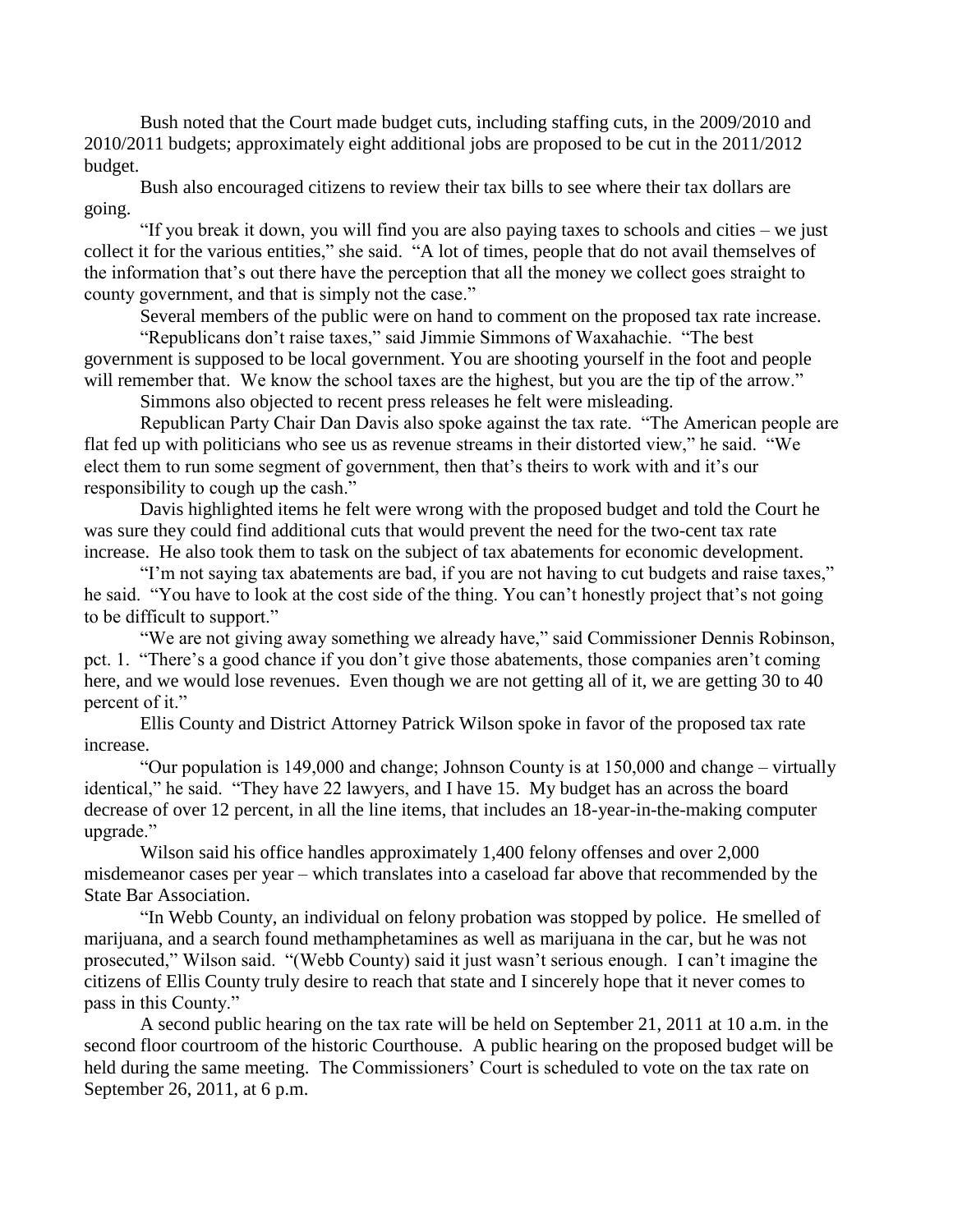Bush noted that the Court made budget cuts, including staffing cuts, in the 2009/2010 and 2010/2011 budgets; approximately eight additional jobs are proposed to be cut in the 2011/2012 budget.

Bush also encouraged citizens to review their tax bills to see where their tax dollars are going.

"If you break it down, you will find you are also paying taxes to schools and cities – we just collect it for the various entities," she said. "A lot of times, people that do not avail themselves of the information that's out there have the perception that all the money we collect goes straight to county government, and that is simply not the case."

Several members of the public were on hand to comment on the proposed tax rate increase.

"Republicans don't raise taxes," said Jimmie Simmons of Waxahachie. "The best government is supposed to be local government. You are shooting yourself in the foot and people will remember that. We know the school taxes are the highest, but you are the tip of the arrow."

Simmons also objected to recent press releases he felt were misleading.

Republican Party Chair Dan Davis also spoke against the tax rate. "The American people are flat fed up with politicians who see us as revenue streams in their distorted view," he said. "We elect them to run some segment of government, then that's theirs to work with and it's our responsibility to cough up the cash."

Davis highlighted items he felt were wrong with the proposed budget and told the Court he was sure they could find additional cuts that would prevent the need for the two-cent tax rate increase. He also took them to task on the subject of tax abatements for economic development.

"I'm not saying tax abatements are bad, if you are not having to cut budgets and raise taxes," he said. "You have to look at the cost side of the thing. You can't honestly project that's not going to be difficult to support."

"We are not giving away something we already have," said Commissioner Dennis Robinson, pct. 1. "There's a good chance if you don't give those abatements, those companies aren't coming here, and we would lose revenues. Even though we are not getting all of it, we are getting 30 to 40 percent of it."

Ellis County and District Attorney Patrick Wilson spoke in favor of the proposed tax rate increase.

"Our population is 149,000 and change; Johnson County is at 150,000 and change – virtually identical," he said. "They have 22 lawyers, and I have 15. My budget has an across the board decrease of over 12 percent, in all the line items, that includes an 18-year-in-the-making computer upgrade."

Wilson said his office handles approximately 1,400 felony offenses and over 2,000 misdemeanor cases per year – which translates into a caseload far above that recommended by the State Bar Association.

"In Webb County, an individual on felony probation was stopped by police. He smelled of marijuana, and a search found methamphetamines as well as marijuana in the car, but he was not prosecuted," Wilson said. "(Webb County) said it just wasn't serious enough. I can't imagine the citizens of Ellis County truly desire to reach that state and I sincerely hope that it never comes to pass in this County."

A second public hearing on the tax rate will be held on September 21, 2011 at 10 a.m. in the second floor courtroom of the historic Courthouse. A public hearing on the proposed budget will be held during the same meeting. The Commissioners' Court is scheduled to vote on the tax rate on September 26, 2011, at 6 p.m.